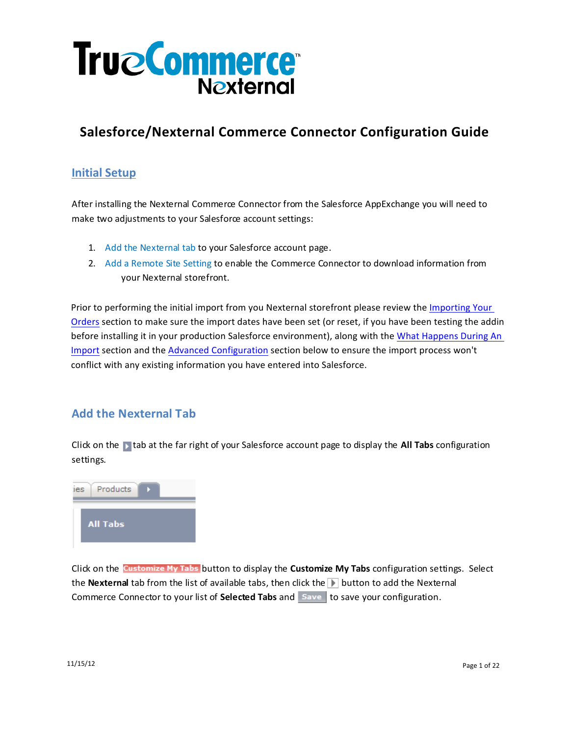

# **Salesforce/Nexternal Commerce Connector Configuration Guide**

## **Initial Setup**

After installing the Nexternal Commerce Connector from the Salesforce AppExchange you will need to make two adjustments to your Salesforce account settings:

- 1. Add the Nexternal tab to your Salesforce account page.
- 2. Add a Remote Site Setting to enable the Commerce Connector to download information from your Nexternal storefront.

Prior to performing the initial import from you Nexternal storefront please review the Importing Your Orders section to make sure the import dates have been set (or reset, if you have been testing the addin before installing it in your production Salesforce environment), along with the What Happens During An Import section and the **Advanced Configuration** section below to ensure the import process won't conflict with any existing information you have entered into Salesforce.

## **Add the Nexternal Tab**

Click on the tab at the far right of your Salesforce account page to display the **All Tabs** configuration settings.



Click on the Customize My Tabs button to display the Customize My Tabs configuration settings. Select the **Nexternal** tab from the list of available tabs, then click the **D** button to add the Nexternal Commerce Connector to your list of **Selected Tabs** and **Save** to save your configuration.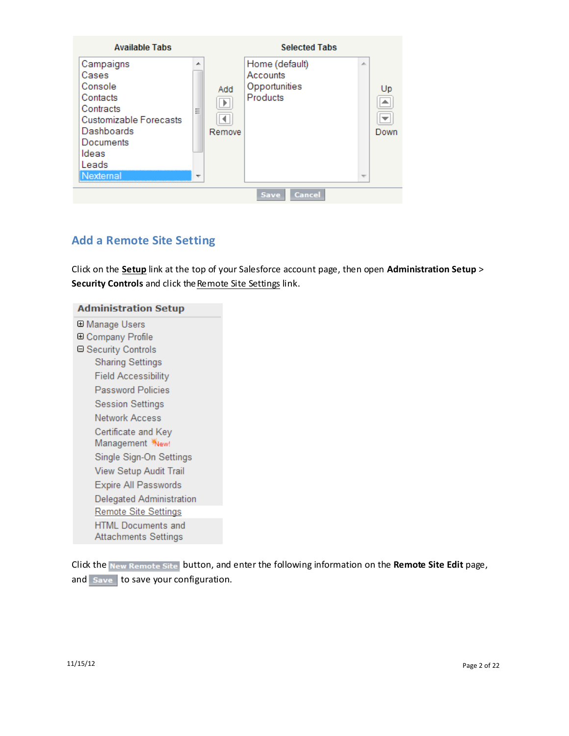

# **Add a Remote Site Setting**

Click on the **Setup** link at the top of your Salesforce account page, then open **Administration Setup** > **Security Controls** and click the Remote Site Settings link.

| <b>Administration Setup</b>                              |
|----------------------------------------------------------|
| ⊞ Manage Users                                           |
| <b>E Company Profile</b>                                 |
| ⊟ Security Controls                                      |
| <b>Sharing Settings</b>                                  |
| Field Accessibility                                      |
| <b>Password Policies</b>                                 |
| <b>Session Settings</b>                                  |
| Network Access                                           |
| Certificate and Key                                      |
| Single Sign-On Settings                                  |
| View Setup Audit Trail                                   |
| <b>Expire All Passwords</b>                              |
| Delegated Administration                                 |
| Remote Site Settings                                     |
| <b>HTML Documents and</b><br><b>Attachments Settings</b> |
|                                                          |

Click the button, and enter the following information on the **Remote Site Edit** page, and  $S$ ave to save your configuration.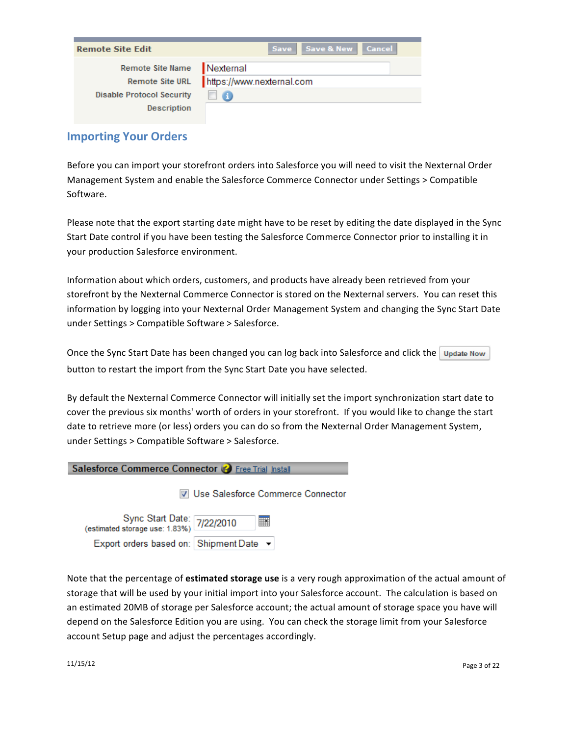| <b>Remote Site Edit</b>                                | Save Save & New Cancel                 |
|--------------------------------------------------------|----------------------------------------|
| Remote Site Name<br>Remote Site URL                    | Nexternal<br>https://www.nexternal.com |
| <b>Disable Protocol Security</b><br><b>Description</b> |                                        |

## **Importing Your Orders**

Before you can import your storefront orders into Salesforce you will need to visit the Nexternal Order Management System and enable the Salesforce Commerce Connector under Settings > Compatible Software.

Please note that the export starting date might have to be reset by editing the date displayed in the Sync Start Date control if you have been testing the Salesforce Commerce Connector prior to installing it in your production Salesforce environment.

Information about which orders, customers, and products have already been retrieved from your storefront by the Nexternal Commerce Connector is stored on the Nexternal servers. You can reset this information by logging into your Nexternal Order Management System and changing the Sync Start Date under Settings > Compatible Software > Salesforce.

Once the Sync Start Date has been changed you can log back into Salesforce and click the Update Now button to restart the import from the Sync Start Date you have selected.

By default the Nexternal Commerce Connector will initially set the import synchronization start date to cover the previous six months' worth of orders in your storefront. If you would like to change the start date to retrieve more (or less) orders you can do so from the Nexternal Order Management System, under Settings > Compatible Software > Salesforce.

|  |  |  |  | Salesforce Commerce Connector & Free Trial Install |
|--|--|--|--|----------------------------------------------------|
|--|--|--|--|----------------------------------------------------|

V Use Salesforce Commerce Connector

Sync Start Date: 7/22/2010 (estimated storage use: 1.83%) Export orders based on: Shipment Date ▼

Note that the percentage of **estimated storage use** is a very rough approximation of the actual amount of storage that will be used by your initial import into your Salesforce account. The calculation is based on an estimated 20MB of storage per Salesforce account; the actual amount of storage space you have will depend on the Salesforce Edition you are using. You can check the storage limit from your Salesforce account Setup page and adjust the percentages accordingly.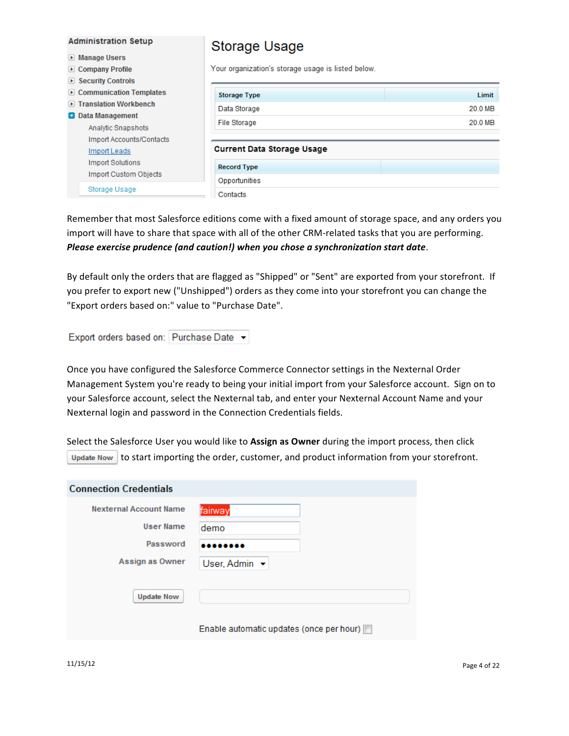| <b>Administration Setup</b>                                                    | Storage Usage                                      |         |
|--------------------------------------------------------------------------------|----------------------------------------------------|---------|
| ▶ Manage Users<br>▶ Company Profile<br>$\blacktriangleright$ Security Controls | Your organization's storage usage is listed below. |         |
| Communication Templates                                                        | <b>Storage Type</b>                                | Limit   |
| ▶ Translation Workbench<br><b>D</b> Data Management                            | Data Storage                                       | 20.0 MB |
| Analytic Snapshots                                                             | <b>File Storage</b>                                | 20.0 MB |
| Import Accounts/Contacts<br>Import Leads                                       | <b>Current Data Storage Usage</b>                  |         |
| Import Solutions<br><b>Import Custom Objects</b>                               | <b>Record Type</b>                                 |         |
| Storage Usage                                                                  | Opportunities<br>Contacts                          |         |

Remember that most Salesforce editions come with a fixed amount of storage space, and any orders you import will have to share that space with all of the other CRM-related tasks that you are performing. *Please exercise prudence (and caution!)* when you chose a synchronization start date.

By default only the orders that are flagged as "Shipped" or "Sent" are exported from your storefront. If you prefer to export new ("Unshipped") orders as they come into your storefront you can change the "Export orders based on:" value to "Purchase Date".

Export orders based on: Purchase Date v

Once you have configured the Salesforce Commerce Connector settings in the Nexternal Order Management System you're ready to being your initial import from your Salesforce account. Sign on to your Salesforce account, select the Nexternal tab, and enter your Nexternal Account Name and your Nexternal login and password in the Connection Credentials fields.

Select the Salesforce User you would like to Assign as Owner during the import process, then click Update Now to start importing the order, customer, and product information from your storefront.

| <b>Connection Credentials</b>                     |                                          |
|---------------------------------------------------|------------------------------------------|
| <b>Nexternal Account Name</b><br><b>User Name</b> | fairway<br>demo                          |
| Password                                          |                                          |
| Assign as Owner                                   | User, Admin                              |
| <b>Update Now</b>                                 |                                          |
|                                                   | Enable automatic updates (once per hour) |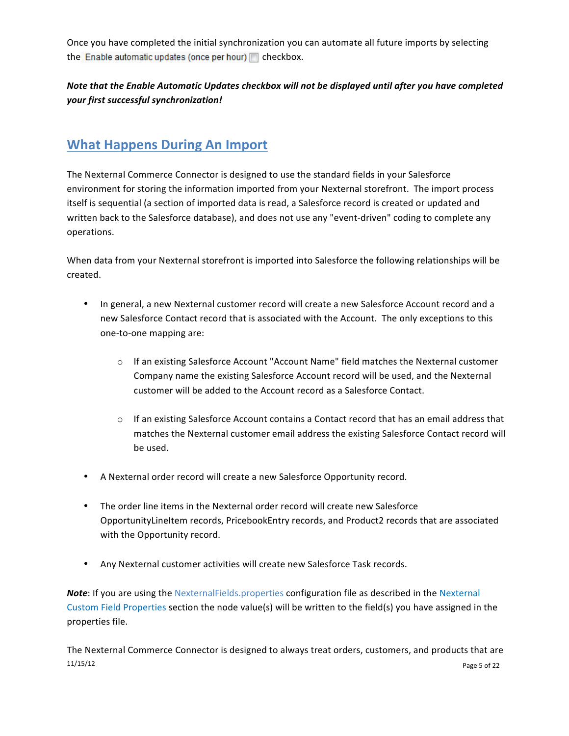Once you have completed the initial synchronization you can automate all future imports by selecting the Enable automatic updates (once per hour)  $\Box$  checkbox.

## Note that the Enable Automatic Updates checkbox will not be displayed until after you have completed *your first successful synchronization!*

# **What Happens During An Import**

The Nexternal Commerce Connector is designed to use the standard fields in your Salesforce environment for storing the information imported from your Nexternal storefront. The import process itself is sequential (a section of imported data is read, a Salesforce record is created or updated and written back to the Salesforce database), and does not use any "event-driven" coding to complete any operations.

When data from your Nexternal storefront is imported into Salesforce the following relationships will be created.

- In general, a new Nexternal customer record will create a new Salesforce Account record and a new Salesforce Contact record that is associated with the Account. The only exceptions to this one-to-one mapping are:
	- $\circ$  If an existing Salesforce Account "Account Name" field matches the Nexternal customer Company name the existing Salesforce Account record will be used, and the Nexternal customer will be added to the Account record as a Salesforce Contact.
	- $\circ$  If an existing Salesforce Account contains a Contact record that has an email address that matches the Nexternal customer email address the existing Salesforce Contact record will be used.
- A Nexternal order record will create a new Salesforce Opportunity record.
- The order line items in the Nexternal order record will create new Salesforce OpportunityLineItem records, PricebookEntry records, and Product2 records that are associated with the Opportunity record.
- Any Nexternal customer activities will create new Salesforce Task records.

**Note:** If you are using the NexternalFields.properties configuration file as described in the Nexternal Custom Field Properties section the node value(s) will be written to the field(s) you have assigned in the properties file.

 $11/15/12$  Page 5 of 22 The Nexternal Commerce Connector is designed to always treat orders, customers, and products that are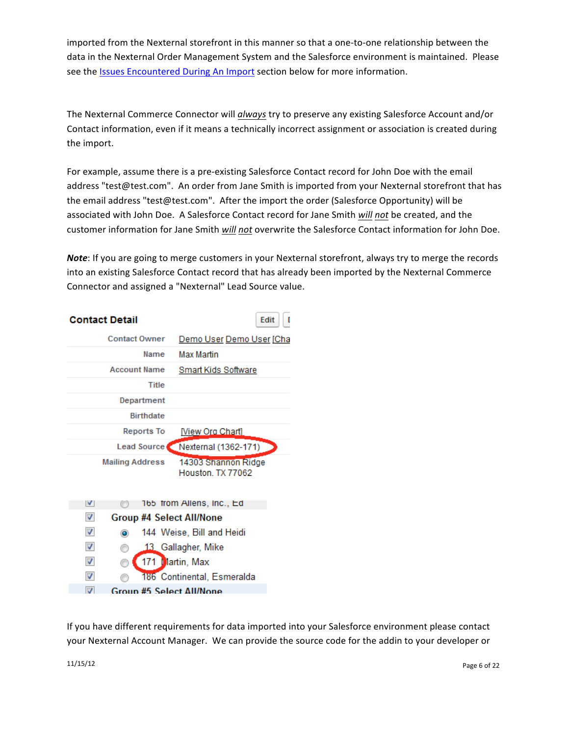imported from the Nexternal storefront in this manner so that a one-to-one relationship between the data in the Nexternal Order Management System and the Salesforce environment is maintained. Please see the Issues Encountered During An Import section below for more information.

The Nexternal Commerce Connector will *always* try to preserve any existing Salesforce Account and/or Contact information, even if it means a technically incorrect assignment or association is created during the import.

For example, assume there is a pre-existing Salesforce Contact record for John Doe with the email address "test@test.com". An order from Jane Smith is imported from your Nexternal storefront that has the email address "test@test.com". After the import the order (Salesforce Opportunity) will be associated with John Doe. A Salesforce Contact record for Jane Smith *will not* be created, and the customer information for Jane Smith will not overwrite the Salesforce Contact information for John Doe.

*Note*: If you are going to merge customers in your Nexternal storefront, always try to merge the records into an existing Salesforce Contact record that has already been imported by the Nexternal Commerce Connector and assigned a "Nexternal" Lead Source value.

| <b>Contact Detail</b>                | Edit                                    |
|--------------------------------------|-----------------------------------------|
| <b>Contact Owner</b>                 | Demo User Demo User [Cha                |
| Name                                 | <b>Max Martin</b>                       |
| <b>Account Name</b>                  | Smart Kids Software                     |
| Title                                |                                         |
| Department                           |                                         |
| <b>Birthdate</b>                     |                                         |
| Reports To                           | [View Org Chart]                        |
|                                      | Lead Source Nexternal (1362-171)        |
| <b>Mailing Address</b>               | 14303 Shannon Ridge<br>Houston TX 77062 |
| V                                    | 165 from Allens, Inc., Ed               |
| $\overline{\mathcal{A}}$             | <b>Group #4 Select All/None</b>         |
| $\overline{\mathbf{v}}$<br>$\bullet$ | 144 Weise, Bill and Heidi               |
| ⊽<br>⊙                               | 13 Gallagher, Mike                      |
| $\overline{\mathsf{v}}$              | 171 Martin, Max                         |
| $\overline{\mathsf{v}}$              | 186 Continental, Esmeralda              |
| $\overline{J}$                       | <b>Group #5 Select All/None</b>         |

If you have different requirements for data imported into your Salesforce environment please contact your Nexternal Account Manager. We can provide the source code for the addin to your developer or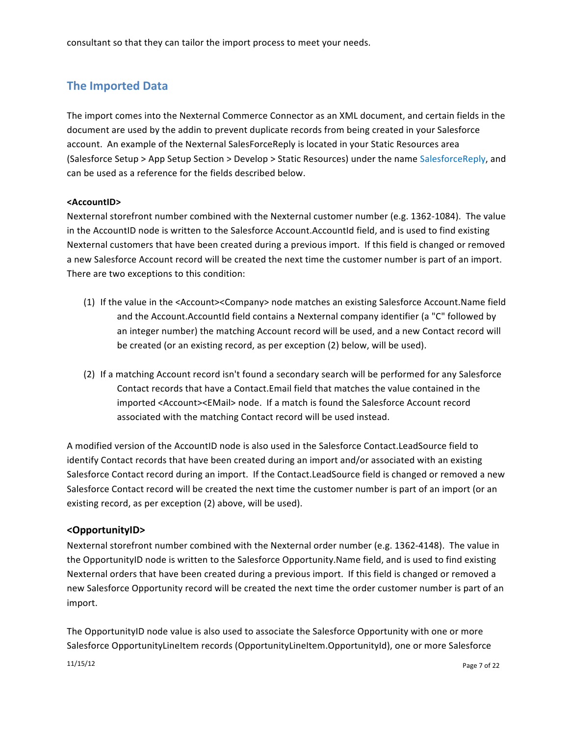consultant so that they can tailor the import process to meet your needs.

# **The Imported Data**

The import comes into the Nexternal Commerce Connector as an XML document, and certain fields in the document are used by the addin to prevent duplicate records from being created in your Salesforce account. An example of the Nexternal SalesForceReply is located in your Static Resources area (Salesforce Setup > App Setup Section > Develop > Static Resources) under the name SalesforceReply, and can be used as a reference for the fields described below.

#### **<AccountID>**

Nexternal storefront number combined with the Nexternal customer number (e.g. 1362-1084). The value in the AccountID node is written to the Salesforce Account.AccountId field, and is used to find existing Nexternal customers that have been created during a previous import. If this field is changed or removed a new Salesforce Account record will be created the next time the customer number is part of an import. There are two exceptions to this condition:

- (1) If the value in the <Account><Company> node matches an existing Salesforce Account.Name field and the Account.AccountId field contains a Nexternal company identifier (a "C" followed by an integer number) the matching Account record will be used, and a new Contact record will be created (or an existing record, as per exception (2) below, will be used).
- (2) If a matching Account record isn't found a secondary search will be performed for any Salesforce Contact records that have a Contact. Email field that matches the value contained in the imported <Account><EMail> node. If a match is found the Salesforce Account record associated with the matching Contact record will be used instead.

A modified version of the AccountID node is also used in the Salesforce Contact.LeadSource field to identify Contact records that have been created during an import and/or associated with an existing Salesforce Contact record during an import. If the Contact.LeadSource field is changed or removed a new Salesforce Contact record will be created the next time the customer number is part of an import (or an existing record, as per exception (2) above, will be used).

### **<OpportunityID>**

Nexternal storefront number combined with the Nexternal order number (e.g. 1362-4148). The value in the OpportunityID node is written to the Salesforce Opportunity.Name field, and is used to find existing Nexternal orders that have been created during a previous import. If this field is changed or removed a new Salesforce Opportunity record will be created the next time the order customer number is part of an import.

The OpportunityID node value is also used to associate the Salesforce Opportunity with one or more Salesforce OpportunityLineItem records (OpportunityLineItem.OpportunityId), one or more Salesforce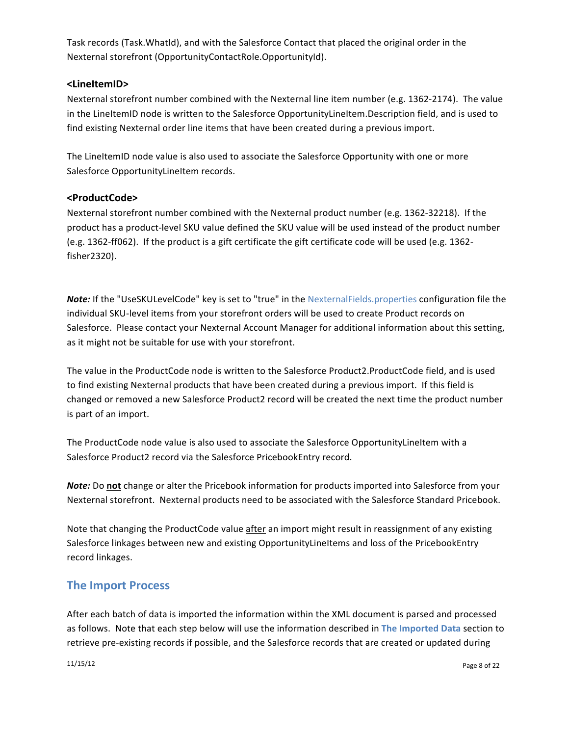Task records (Task. WhatId), and with the Salesforce Contact that placed the original order in the Nexternal storefront (OpportunityContactRole.OpportunityId).

### **<LineItemID>**

Nexternal storefront number combined with the Nexternal line item number (e.g. 1362-2174). The value in the LineItemID node is written to the Salesforce OpportunityLineItem.Description field, and is used to find existing Nexternal order line items that have been created during a previous import.

The LineItemID node value is also used to associate the Salesforce Opportunity with one or more Salesforce OpportunityLineItem records.

### **<ProductCode>**

Nexternal storefront number combined with the Nexternal product number (e.g. 1362-32218). If the product has a product-level SKU value defined the SKU value will be used instead of the product number (e.g. 1362-ff062). If the product is a gift certificate the gift certificate code will be used (e.g. 1362fisher2320).

*Note:* If the "UseSKULevelCode" key is set to "true" in the NexternalFields.properties configuration file the individual SKU-level items from your storefront orders will be used to create Product records on Salesforce. Please contact your Nexternal Account Manager for additional information about this setting, as it might not be suitable for use with your storefront.

The value in the ProductCode node is written to the Salesforce Product2.ProductCode field, and is used to find existing Nexternal products that have been created during a previous import. If this field is changed or removed a new Salesforce Product2 record will be created the next time the product number is part of an import.

The ProductCode node value is also used to associate the Salesforce OpportunityLineItem with a Salesforce Product2 record via the Salesforce PricebookEntry record.

**Note:** Do not change or alter the Pricebook information for products imported into Salesforce from your Nexternal storefront. Nexternal products need to be associated with the Salesforce Standard Pricebook.

Note that changing the ProductCode value after an import might result in reassignment of any existing Salesforce linkages between new and existing OpportunityLineItems and loss of the PricebookEntry record linkages.

## **The Import Process**

After each batch of data is imported the information within the XML document is parsed and processed as follows. Note that each step below will use the information described in The Imported Data section to retrieve pre-existing records if possible, and the Salesforce records that are created or updated during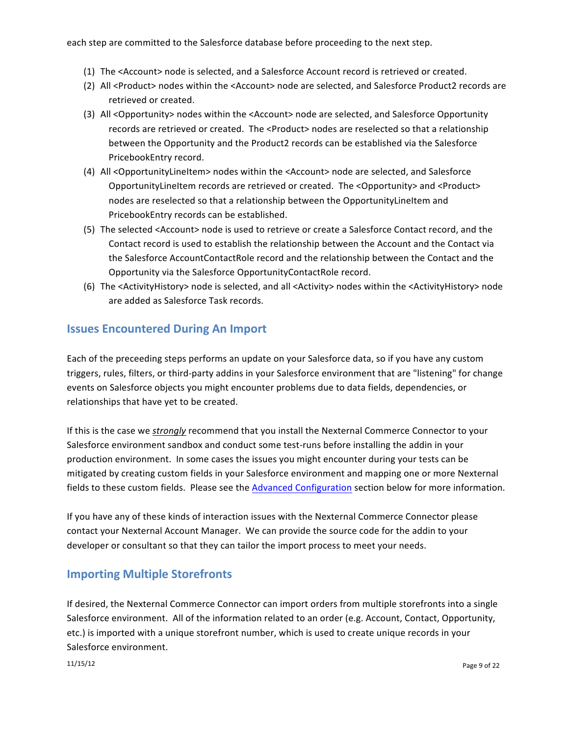each step are committed to the Salesforce database before proceeding to the next step.

- (1) The <Account> node is selected, and a Salesforce Account record is retrieved or created.
- (2) All <Product> nodes within the <Account> node are selected, and Salesforce Product2 records are retrieved or created.
- (3) All <Opportunity> nodes within the <Account> node are selected, and Salesforce Opportunity records are retrieved or created. The <Product> nodes are reselected so that a relationship between the Opportunity and the Product2 records can be established via the Salesforce PricebookEntry record.
- (4) All <OpportunityLineItem> nodes within the <Account> node are selected, and Salesforce OpportunityLineItem records are retrieved or created. The <Opportunity> and <Product> nodes are reselected so that a relationship between the OpportunityLineItem and PricebookEntry records can be established.
- (5) The selected <Account> node is used to retrieve or create a Salesforce Contact record, and the Contact record is used to establish the relationship between the Account and the Contact via the Salesforce AccountContactRole record and the relationship between the Contact and the Opportunity via the Salesforce OpportunityContactRole record.
- (6) The <ActivityHistory> node is selected, and all <Activity> nodes within the <ActivityHistory> node are added as Salesforce Task records.

## **Issues Encountered During An Import**

Each of the preceeding steps performs an update on your Salesforce data, so if you have any custom triggers, rules, filters, or third-party addins in your Salesforce environment that are "listening" for change events on Salesforce objects you might encounter problems due to data fields, dependencies, or relationships that have yet to be created.

If this is the case we *strongly* recommend that you install the Nexternal Commerce Connector to your Salesforce environment sandbox and conduct some test-runs before installing the addin in your production environment. In some cases the issues you might encounter during your tests can be mitigated by creating custom fields in your Salesforce environment and mapping one or more Nexternal fields to these custom fields. Please see the Advanced Configuration section below for more information.

If you have any of these kinds of interaction issues with the Nexternal Commerce Connector please contact your Nexternal Account Manager. We can provide the source code for the addin to your developer or consultant so that they can tailor the import process to meet your needs.

## **Importing Multiple Storefronts**

If desired, the Nexternal Commerce Connector can import orders from multiple storefronts into a single Salesforce environment. All of the information related to an order (e.g. Account, Contact, Opportunity, etc.) is imported with a unique storefront number, which is used to create unique records in your Salesforce environment.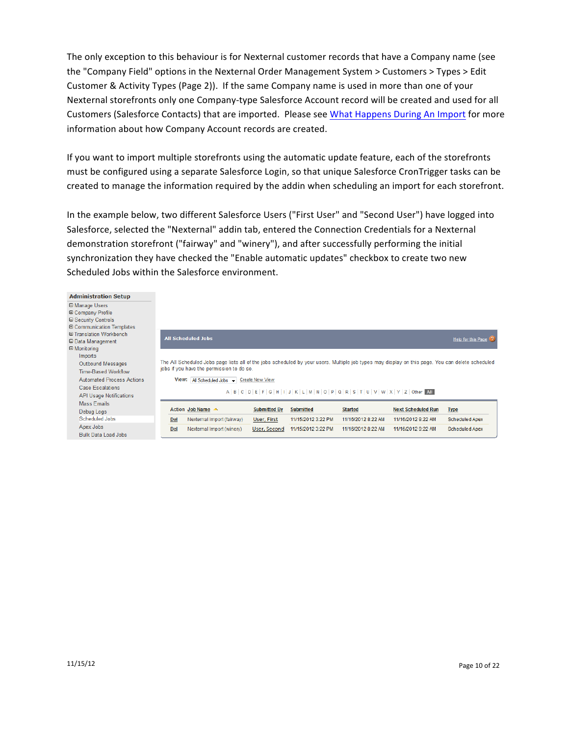The only exception to this behaviour is for Nexternal customer records that have a Company name (see the "Company Field" options in the Nexternal Order Management System > Customers > Types > Edit Customer & Activity Types (Page 2)). If the same Company name is used in more than one of your Nexternal storefronts only one Company-type Salesforce Account record will be created and used for all Customers (Salesforce Contacts) that are imported. Please see What Happens During An Import for more information about how Company Account records are created.

If you want to import multiple storefronts using the automatic update feature, each of the storefronts must be configured using a separate Salesforce Login, so that unique Salesforce CronTrigger tasks can be created to manage the information required by the addin when scheduling an import for each storefront.

In the example below, two different Salesforce Users ("First User" and "Second User") have logged into Salesforce, selected the "Nexternal" addin tab, entered the Connection Credentials for a Nexternal demonstration storefront ("fairway" and "winery"), and after successfully performing the initial synchronization they have checked the "Enable automatic updates" checkbox to create two new Scheduled Jobs within the Salesforce environment.

| <b>Administration Setup</b>      |            |                                                                                                                                                  |                        |                    |                                                                                                                     |                           |                       |
|----------------------------------|------------|--------------------------------------------------------------------------------------------------------------------------------------------------|------------------------|--------------------|---------------------------------------------------------------------------------------------------------------------|---------------------------|-----------------------|
| 田 Manage Users                   |            |                                                                                                                                                  |                        |                    |                                                                                                                     |                           |                       |
| <b>⊞ Company Profile</b>         |            |                                                                                                                                                  |                        |                    |                                                                                                                     |                           |                       |
| <b>⊞ Security Controls</b>       |            |                                                                                                                                                  |                        |                    |                                                                                                                     |                           |                       |
| <b>E Communication Templates</b> |            |                                                                                                                                                  |                        |                    |                                                                                                                     |                           |                       |
| <b>E Translation Workbench</b>   |            | <b>All Scheduled Jobs</b>                                                                                                                        |                        |                    |                                                                                                                     |                           |                       |
| <b>⊞</b> Data Management         |            |                                                                                                                                                  |                        |                    |                                                                                                                     |                           | Help for this Page 2  |
| $\Box$ Monitoring                |            |                                                                                                                                                  |                        |                    |                                                                                                                     |                           |                       |
| Imports                          |            |                                                                                                                                                  |                        |                    |                                                                                                                     |                           |                       |
| <b>Outbound Messages</b>         |            | The All Scheduled Jobs page lists all of the jobs scheduled by your users. Multiple job types may display on this page. You can delete scheduled |                        |                    |                                                                                                                     |                           |                       |
| <b>Time-Based Workflow</b>       |            | jobs if you have the permission to do so.                                                                                                        |                        |                    |                                                                                                                     |                           |                       |
| <b>Automated Process Actions</b> | View:      | All Scheduled Jobs $\rightarrow$                                                                                                                 | <b>Create New View</b> |                    |                                                                                                                     |                           |                       |
| <b>Case Escalations</b>          |            |                                                                                                                                                  |                        |                    |                                                                                                                     |                           |                       |
| <b>API Usage Notifications</b>   |            |                                                                                                                                                  |                        |                    | $A   B   C   D   E   F   G   H   I   J   K   L   M   N   O   P   Q   R   S   T   U   V   W   X   Y   Z   Other$ All |                           |                       |
| Mass Emails                      |            |                                                                                                                                                  |                        |                    |                                                                                                                     |                           |                       |
| Debug Logs                       |            | Action Job Name $\triangle$                                                                                                                      | <b>Submitted By</b>    | <b>Submitted</b>   | <b>Started</b>                                                                                                      | <b>Next Scheduled Run</b> | <b>Type</b>           |
| Scheduled Jobs                   | Del        | Nexternal Import (fairway)                                                                                                                       | User, First            | 11/15/2012 3:22 PM | 11/16/2012 8:22 AM                                                                                                  | 11/16/2012 9:22 AM        | <b>Scheduled Apex</b> |
| Apex Jobs                        | <b>Del</b> | Nexternal Import (winery)                                                                                                                        | User, Second           | 11/15/2012 3:22 PM | 11/16/2012 8:22 AM                                                                                                  | 11/16/2012 9:22 AM        | <b>Scheduled Apex</b> |
| <b>Bulk Data Load Jobs</b>       |            |                                                                                                                                                  |                        |                    |                                                                                                                     |                           |                       |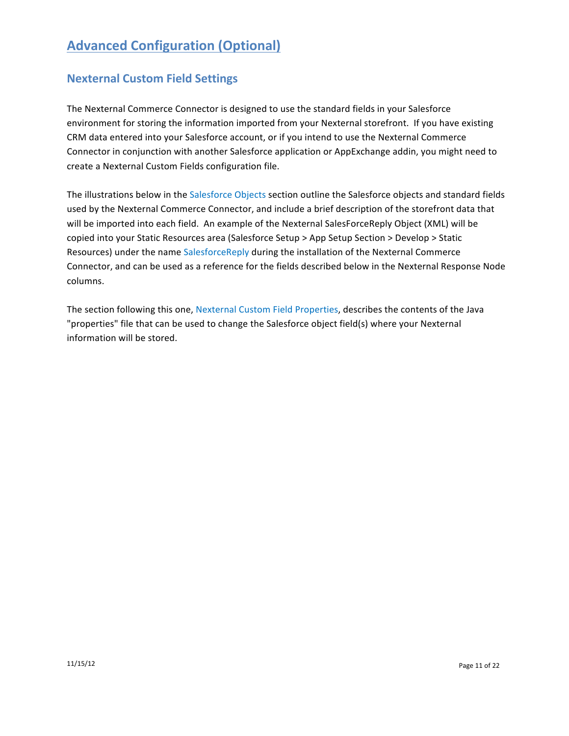# **Advanced Configuration (Optional)**

# **Nexternal Custom Field Settings**

The Nexternal Commerce Connector is designed to use the standard fields in your Salesforce environment for storing the information imported from your Nexternal storefront. If you have existing CRM data entered into your Salesforce account, or if you intend to use the Nexternal Commerce Connector in conjunction with another Salesforce application or AppExchange addin, you might need to create a Nexternal Custom Fields configuration file.

The illustrations below in the Salesforce Objects section outline the Salesforce objects and standard fields used by the Nexternal Commerce Connector, and include a brief description of the storefront data that will be imported into each field. An example of the Nexternal SalesForceReply Object (XML) will be copied into your Static Resources area (Salesforce Setup > App Setup Section > Develop > Static Resources) under the name SalesforceReply during the installation of the Nexternal Commerce Connector, and can be used as a reference for the fields described below in the Nexternal Response Node columns.

The section following this one, Nexternal Custom Field Properties, describes the contents of the Java "properties" file that can be used to change the Salesforce object field(s) where your Nexternal information will be stored.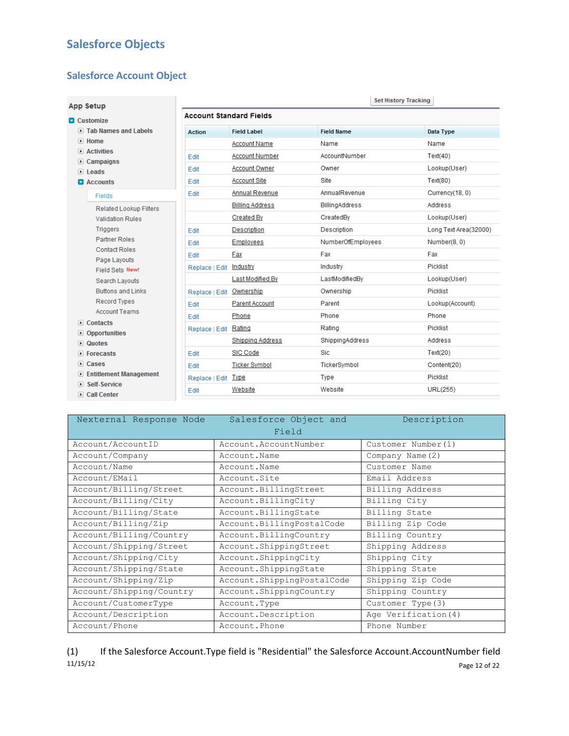# **Salesforce Objects**

## **Salesforce Account Object**

| <b>App Setup</b>                                         |                                |                         |                        | <b>Set History Tracking</b> |
|----------------------------------------------------------|--------------------------------|-------------------------|------------------------|-----------------------------|
| <b>D</b> Customize                                       | <b>Account Standard Fields</b> |                         |                        |                             |
| In Tab Names and Labels                                  | <b>Action</b>                  | <b>Field Label</b>      | <b>Field Name</b>      | Data Type                   |
| $\triangleright$ Home                                    |                                | <b>Account Name</b>     | Name                   | Name                        |
| $\triangleright$ Activities                              | Edit                           | <b>Account Number</b>   | AccountNumber          | Text(40)                    |
| $\triangleright$ Campaigns<br>$\triangleright$ Leads     | Edit                           | <b>Account Owner</b>    | Owner                  | Lookup(User)                |
| $\blacksquare$ Accounts                                  | Edit                           | <b>Account Site</b>     | Site                   | Text(80)                    |
| <b>Fields</b>                                            | Edit                           | Annual Revenue          | AnnualRevenue          | Currency(18, 0)             |
|                                                          |                                | <b>Billing Address</b>  | <b>BillingAddress</b>  | Address                     |
| <b>Related Lookup Filters</b><br><b>Validation Rules</b> |                                | <b>Created By</b>       | CreatedBy              | Lookup(User)                |
| <b>Triggers</b>                                          | Fdit                           | Description             | Description            | Long Text Area(32000)       |
| <b>Partner Roles</b>                                     | Edit                           | <b>Employees</b>        | NumberOfEmployees      | Number(8, 0)                |
| <b>Contact Roles</b>                                     | Edit                           | Fax                     | Fax                    | Fax                         |
| Page Layouts                                             | Replace   Edit                 | Industry                | Industry               | Picklist                    |
| Field Sets New!<br><b>Search Lavouts</b>                 |                                | Last Modified By        | LastModifiedBy         | Lookup(User)                |
| <b>Buttons and Links</b>                                 | Replace   Edit                 | Ownership               | Ownership              | <b>Picklist</b>             |
| <b>Record Types</b>                                      | Edit                           | <b>Parent Account</b>   | Parent                 | Lookup(Account)             |
| <b>Account Teams</b>                                     | <b>F</b> dit                   | Phone                   | Phone                  | Phone                       |
| $\triangleright$ Contacts                                | Replace   Edit                 | Rating                  | Rating                 | Picklist                    |
| • Opportunities                                          |                                | <b>Shipping Address</b> | <b>ShippingAddress</b> | Address                     |
| $\triangleright$ Quotes<br>$\triangleright$ Forecasts    | Edit                           | <b>SIC Code</b>         | Sic.                   | Text(20)                    |
| Cases                                                    | Edit                           | <b>Ticker Symbol</b>    | TickerSymbol           | Content(20)                 |
| E Entitlement Management                                 | Replace   Edit Type            |                         | Type                   | Picklist                    |
| Self-Service                                             |                                | Website                 | Website                | <b>URL(255)</b>             |
| ▶ Call Center                                            | Edit                           |                         |                        |                             |

| Nexternal Response Node  | Salesforce Object and      | Description          |
|--------------------------|----------------------------|----------------------|
|                          | Field                      |                      |
| Account/AccountID        | Account.AccountNumber      | Customer Number (1)  |
| Account/Company          | Account.Name               | Company Name (2)     |
| Account/Name             | Account.Name               | Customer Name        |
| Account/EMail            | Account.Site               | Email Address        |
| Account/Billing/Street   | Account.BillingStreet      | Billing Address      |
| Account/Billing/City     | Account.BillingCity        | Billing City         |
| Account/Billing/State    | Account. BillingState      | Billing State        |
| Account/Billing/Zip      | Account.BillingPostalCode  | Billing Zip Code     |
| Account/Billing/Country  | Account.BillingCountry     | Billing Country      |
| Account/Shipping/Street  | Account.ShippingStreet     | Shipping Address     |
| Account/Shipping/City    | Account.ShippingCity       | Shipping City        |
| Account/Shipping/State   | Account.ShippingState      | Shipping State       |
| Account/Shipping/Zip     | Account.ShippingPostalCode | Shipping Zip Code    |
| Account/Shipping/Country | Account.ShippingCountry    | Shipping Country     |
| Account/CustomerType     | Account.Type               | Customer Type (3)    |
| Account/Description      | Account. Description       | Age Verification (4) |
| Account/Phone            | Account. Phone             | Phone Number         |

 $11/15/12$  Page 12 of 22  $\,$ (1) If the Salesforce Account.Type field is "Residential" the Salesforce Account.AccountNumber field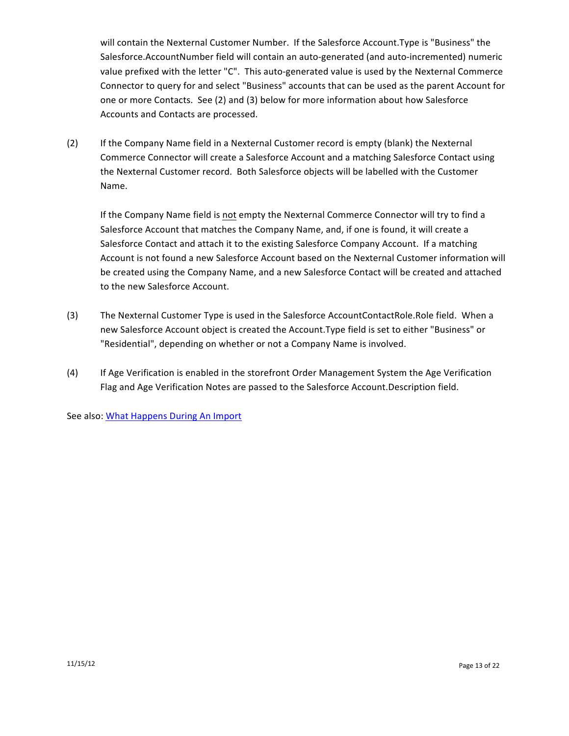will contain the Nexternal Customer Number. If the Salesforce Account.Type is "Business" the Salesforce.AccountNumber field will contain an auto-generated (and auto-incremented) numeric value prefixed with the letter "C". This auto-generated value is used by the Nexternal Commerce Connector to query for and select "Business" accounts that can be used as the parent Account for one or more Contacts. See (2) and (3) below for more information about how Salesforce Accounts and Contacts are processed.

(2) If the Company Name field in a Nexternal Customer record is empty (blank) the Nexternal Commerce Connector will create a Salesforce Account and a matching Salesforce Contact using the Nexternal Customer record. Both Salesforce objects will be labelled with the Customer Name.

If the Company Name field is not empty the Nexternal Commerce Connector will try to find a Salesforce Account that matches the Company Name, and, if one is found, it will create a Salesforce Contact and attach it to the existing Salesforce Company Account. If a matching Account is not found a new Salesforce Account based on the Nexternal Customer information will be created using the Company Name, and a new Salesforce Contact will be created and attached to the new Salesforce Account.

- (3) The Nexternal Customer Type is used in the Salesforce AccountContactRole.Role field. When a new Salesforce Account object is created the Account.Type field is set to either "Business" or "Residential", depending on whether or not a Company Name is involved.
- (4) If Age Verification is enabled in the storefront Order Management System the Age Verification Flag and Age Verification Notes are passed to the Salesforce Account.Description field.

See also: What Happens During An Import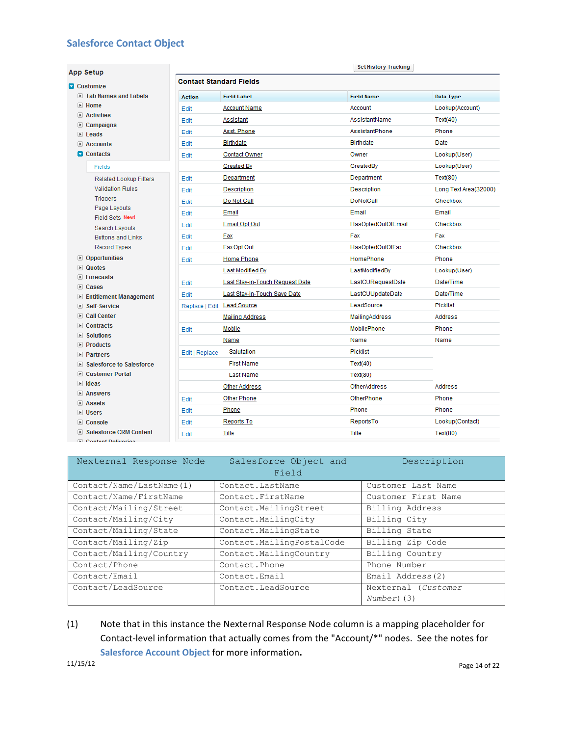# **Salesforce Contact Object**

| App Setup                                                    |                                |                                 | <b>Set History Tracking</b> |                       |
|--------------------------------------------------------------|--------------------------------|---------------------------------|-----------------------------|-----------------------|
| <b>Q</b> Customize                                           | <b>Contact Standard Fields</b> |                                 |                             |                       |
| ID Tab Names and Labels                                      | <b>Action</b>                  | <b>Field Label</b>              | <b>Field Name</b>           | Data Type             |
| $\blacktriangleright$ Home                                   |                                |                                 |                             |                       |
| $\triangleright$ Activities                                  | Edit                           | <b>Account Name</b>             | Account                     | Lookup(Account)       |
| $\triangleright$ Campaigns                                   | Edit                           | Assistant                       | AssistantName               | Text(40)              |
| $\triangleright$ Leads                                       | Edit                           | Asst. Phone                     | AssistantPhone              | Phone                 |
| $\triangleright$ Accounts                                    | Edit                           | <b>Birthdate</b>                | <b>Birthdate</b>            | Date                  |
| <b>D</b> Contacts                                            | Edit                           | <b>Contact Owner</b>            | Owner                       | Lookup(User)          |
| Fields                                                       |                                | <b>Created By</b>               | CreatedBy                   | Lookup(User)          |
| <b>Related Lookup Filters</b>                                | Edit                           | Department                      | Department                  | Text(80)              |
| <b>Validation Rules</b>                                      | Edit                           | Description                     | Description                 | Long Text Area(32000) |
| <b>Triggers</b>                                              | Edit                           | Do Not Call                     | <b>DoNotCall</b>            | Checkbox              |
| Page Layouts<br>Field Sets New!                              | Edit                           | Email                           | Email                       | Email                 |
| Search Layouts                                               | Edit                           | <b>Email Opt Out</b>            | HasOptedOutOfEmail          | Checkbox              |
| <b>Buttons and Links</b>                                     | Edit                           | Fax                             | Fax                         | Fax                   |
| <b>Record Types</b>                                          | Edit                           | Fax Opt Out                     | HasOptedOutOfFax            | Checkbox              |
| <b>■ Opportunities</b>                                       | Edit                           | <b>Home Phone</b>               | <b>HomePhone</b>            | Phone                 |
| $\triangleright$ Quotes                                      |                                | Last Modified By                | LastModifiedBy              | Lookup(User)          |
| $\triangleright$ Forecasts                                   | Edit                           | Last Stay-in-Touch Request Date | LastCURequestDate           | Date/Time             |
| $E$ Cases<br><b>E</b> Entitlement Management                 | Edit                           | Last Stay-in-Touch Save Date    | LastCUUpdateDate            | Date/Time             |
| ▶ Self-Service                                               | Replace   Edit Lead Source     |                                 | LeadSource                  | <b>Picklist</b>       |
| <b>■ Call Center</b>                                         |                                | <b>Mailing Address</b>          | MailingAddress              | Address               |
| $\triangleright$ Contracts                                   | Edit                           | Mobile                          | MobilePhone                 | Phone                 |
| $\triangleright$ Solutions                                   |                                | Name                            | Name                        | Name                  |
| $\blacktriangleright$ Products                               | Edit   Replace                 | Salutation                      | <b>Picklist</b>             |                       |
| $\triangleright$ Partners<br><b>Salesforce to Salesforce</b> |                                | <b>First Name</b>               | Text(40)                    |                       |
| ▶ Customer Portal                                            |                                | Last Name                       | Text(80)                    |                       |
| $\triangleright$ Ideas                                       |                                |                                 |                             |                       |
| $\triangleright$ Answers                                     |                                | <b>Other Address</b>            | <b>OtherAddress</b>         | <b>Address</b>        |
| $\triangleright$ Assets                                      | Edit                           | <b>Other Phone</b>              | OtherPhone                  | Phone                 |
| D Users                                                      | Edit                           | Phone                           | Phone                       | Phone                 |
| $\triangleright$ Console                                     | Edit                           | Reports To                      | ReportsTo                   | Lookup(Contact)       |
| ■ Salesforce CRM Content                                     | Edit                           | Title                           | Title                       | Text(80)              |
| <b>El Contant Dalivarias</b>                                 |                                |                                 |                             |                       |

| Nexternal Response Node  | Salesforce Object and     | Description         |
|--------------------------|---------------------------|---------------------|
|                          | Field                     |                     |
| Contact/Name/LastName(1) | Contact. LastName         | Customer Last Name  |
| Contact/Name/FirstName   | Contact. FirstName        | Customer First Name |
| Contact/Mailing/Street   | Contact.MailingStreet     | Billing Address     |
| Contact/Mailing/City     | Contact. MailingCity      | Billing City        |
| Contact/Mailing/State    | Contact. MailingState     | Billing State       |
| Contact/Mailing/Zip      | Contact.MailingPostalCode | Billing Zip Code    |
| Contact/Mailing/Country  | Contact.MailingCountry    | Billing Country     |
| Contact/Phone            | Contact. Phone            | Phone Number        |
| Contact/Email            | Contact.Email             | Email Address (2)   |
| Contact/LeadSource       | Contact. LeadSource       | Nexternal (Customer |
|                          |                           | Number) (3)         |

(1) Note that in this instance the Nexternal Response Node column is a mapping placeholder for Contact-level information that actually comes from the "Account/\*" nodes. See the notes for **Salesforce Account Object for more information.**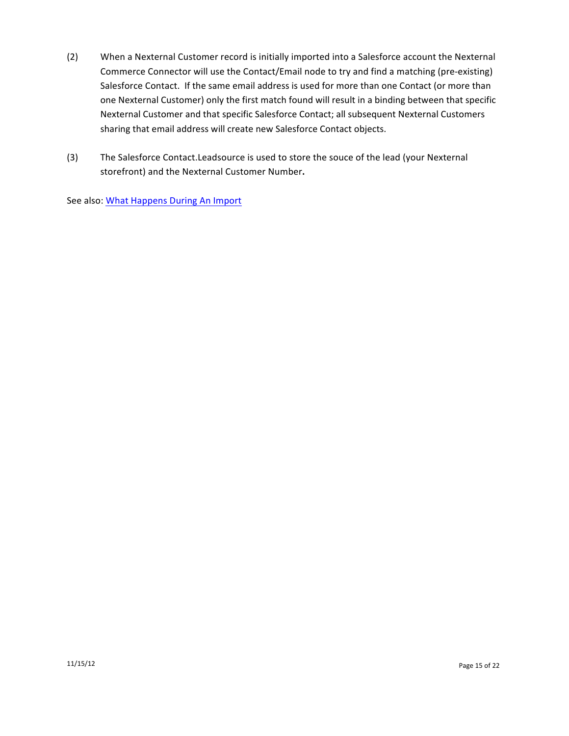- (2) When a Nexternal Customer record is initially imported into a Salesforce account the Nexternal Commerce Connector will use the Contact/Email node to try and find a matching (pre-existing) Salesforce Contact. If the same email address is used for more than one Contact (or more than one Nexternal Customer) only the first match found will result in a binding between that specific Nexternal Customer and that specific Salesforce Contact; all subsequent Nexternal Customers sharing that email address will create new Salesforce Contact objects.
- (3) The Salesforce Contact.Leadsource is used to store the souce of the lead (your Nexternal storefront) and the Nexternal Customer Number.

See also: What Happens During An Import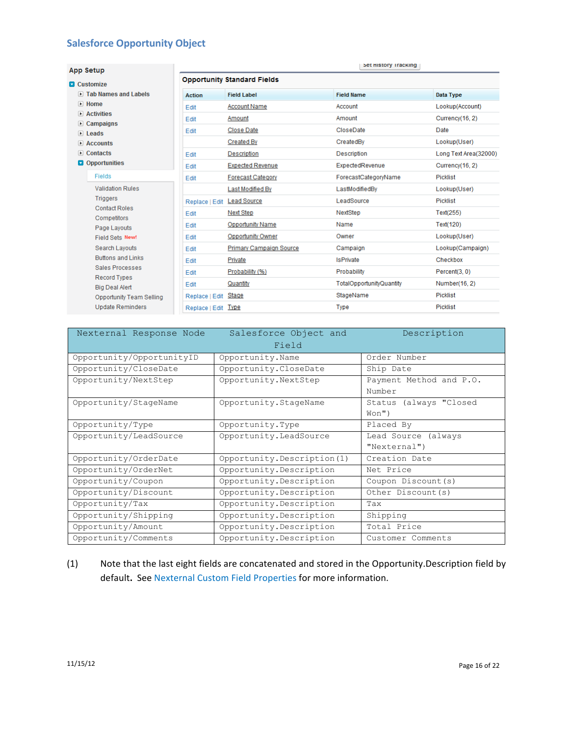# **Salesforce Opportunity Object**

| <b>App Setup</b>                                             |                            |                                    | Set History Tracking     |                       |
|--------------------------------------------------------------|----------------------------|------------------------------------|--------------------------|-----------------------|
| <b>D</b> Customize                                           |                            | <b>Opportunity Standard Fields</b> |                          |                       |
| <b>F</b> Tab Names and Labels                                | <b>Action</b>              | <b>Field Label</b>                 | <b>Field Name</b>        | <b>Data Type</b>      |
| $\triangleright$ Home                                        | Edit                       | <b>Account Name</b>                | Account                  | Lookup(Account)       |
| <b>Activities</b><br>$\blacktriangleright$                   | Edit                       | Amount                             | Amount                   | Currency(16, 2)       |
| Campaigns<br>$\blacktriangleright$<br>$\triangleright$ Leads | Edit                       | Close Date                         | CloseDate                | Date                  |
| $\triangleright$ Accounts                                    |                            | <b>Created By</b>                  | CreatedBy                | Lookup(User)          |
| $\triangleright$ Contacts                                    | Edit                       | Description                        | Description              | Long Text Area(32000) |
| Opportunities                                                | Edit                       | <b>Expected Revenue</b>            | ExpectedRevenue          | Currency(16, 2)       |
| Fields                                                       | Edit                       | <b>Forecast Category</b>           | ForecastCategoryName     | <b>Picklist</b>       |
| <b>Validation Rules</b>                                      |                            | Last Modified By                   | LastModifiedBy           | Lookup(User)          |
| <b>Triggers</b>                                              | Replace   Edit Lead Source |                                    | LeadSource               | <b>Picklist</b>       |
| <b>Contact Roles</b>                                         | Edit                       | <b>Next Step</b>                   | NextStep                 | Text(255)             |
| Competitors<br>Page Layouts                                  | <b>Edit</b>                | <b>Opportunity Name</b>            | Name                     | Text(120)             |
| Field Sets New!                                              | Edit                       | <b>Opportunity Owner</b>           | Owner                    | Lookup(User)          |
| Search Layouts                                               | Edit                       | <b>Primary Campaign Source</b>     | Campaign                 | Lookup(Campaign)      |
| <b>Buttons and Links</b>                                     | Edit                       | Private                            | <b>IsPrivate</b>         | Checkbox              |
| Sales Processes                                              | Edit                       | Probability (%)                    | Probability              | Percent(3, 0)         |
| <b>Record Types</b><br><b>Big Deal Alert</b>                 | Edit                       | Quantity                           | TotalOpportunityQuantity | Number(16, 2)         |
| <b>Opportunity Team Selling</b>                              | Replace   Edit             | <b>Stage</b>                       | StageName                | Picklist              |
| <b>Update Reminders</b>                                      | Replace   Edit             | Type                               | <b>Type</b>              | <b>Picklist</b>       |

| Nexternal Response Node   | Salesforce Object and<br>Field | Description                         |
|---------------------------|--------------------------------|-------------------------------------|
| Opportunity/OpportunityID | Opportunity.Name               | Order Number                        |
| Opportunity/CloseDate     | Opportunity. CloseDate         | Ship Date                           |
| Opportunity/NextStep      | Opportunity.NextStep           | Payment Method and P.O.<br>Number   |
| Opportunity/StageName     | Opportunity.StageName          | Status (always "Closed<br>$W$ on")  |
| Opportunity/Type          | Opportunity.Type               | Placed By                           |
| Opportunity/LeadSource    | Opportunity. LeadSource        | Lead Source (always<br>"Nexternal") |
| Opportunity/OrderDate     | Opportunity. Description (1)   | Creation Date                       |
| Opportunity/OrderNet      | Opportunity. Description       | Net Price                           |
| Opportunity/Coupon        | Opportunity. Description       | Coupon Discount (s)                 |
| Opportunity/Discount      | Opportunity. Description       | Other Discount (s)                  |
| Opportunity/Tax           | Opportunity. Description       | Tax                                 |
| Opportunity/Shipping      | Opportunity. Description       | Shipping                            |
| Opportunity/Amount        | Opportunity. Description       | Total Price                         |
| Opportunity/Comments      | Opportunity. Description       | Customer Comments                   |

(1) Note that the last eight fields are concatenated and stored in the Opportunity.Description field by default. See Nexternal Custom Field Properties for more information.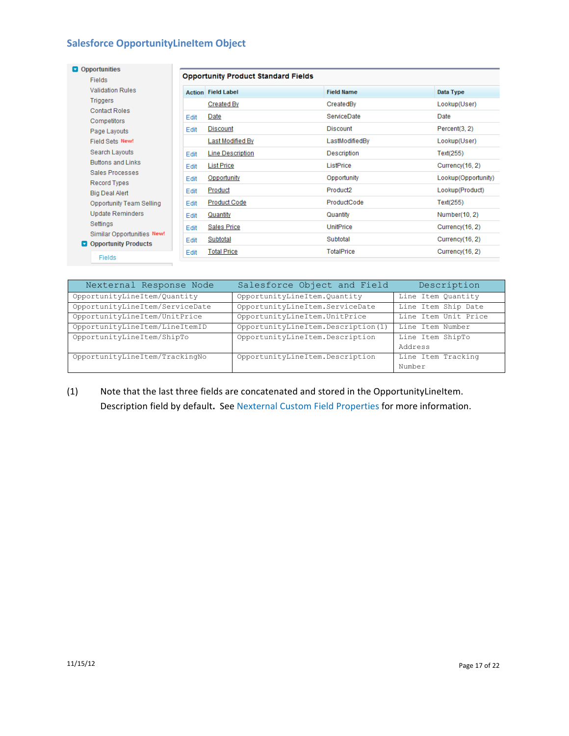# **Salesforce OpportunityLineItem Object**

| Opportunities                                             |      |                                            |                      |                     |
|-----------------------------------------------------------|------|--------------------------------------------|----------------------|---------------------|
| Fields                                                    |      | <b>Opportunity Product Standard Fields</b> |                      |                     |
| <b>Validation Rules</b>                                   |      | <b>Action</b> Field Label                  | <b>Field Name</b>    | Data Type           |
| Triggers                                                  |      | <b>Created By</b>                          | CreatedBy            | Lookup(User)        |
| <b>Contact Roles</b><br>Competitors                       | Edit | Date                                       | <b>ServiceDate</b>   | Date                |
| Page Layouts                                              | Edit | <b>Discount</b>                            | <b>Discount</b>      | Percent(3, 2)       |
| Field Sets New!                                           |      | <b>Last Modified By</b>                    | LastModifiedBy       | Lookup(User)        |
| Search Layouts                                            | Edit | <b>Line Description</b>                    | Description          | Text(255)           |
| <b>Buttons and Links</b>                                  | Edit | <b>List Price</b>                          | ListPrice            | Currency(16, 2)     |
| Sales Processes<br><b>Record Types</b>                    | Edit | Opportunity                                | Opportunity          | Lookup(Opportunity) |
| <b>Big Deal Alert</b>                                     | Edit | Product                                    | Product <sub>2</sub> | Lookup(Product)     |
| <b>Opportunity Team Selling</b>                           | Edit | <b>Product Code</b>                        | ProductCode          | Text(255)           |
| <b>Update Reminders</b>                                   | Edit | Quantity                                   | Quantity             | Number(10, 2)       |
| Settings                                                  | Edit | <b>Sales Price</b>                         | <b>UnitPrice</b>     | Currency(16, 2)     |
| Similar Opportunities New!<br><b>Opportunity Products</b> | Edit | Subtotal                                   | Subtotal             | Currency(16, 2)     |
| Fields                                                    | Edit | <b>Total Price</b>                         | <b>TotalPrice</b>    | Currency(16, 2)     |

| Nexternal Response Node         | Salesforce Object and Field        | Description          |
|---------------------------------|------------------------------------|----------------------|
| OpportunityLineItem/Quantity    | OpportunityLineItem.Quantity       | Line Item Quantity   |
| OpportunityLineItem/ServiceDate | OpportunityLineItem.ServiceDate    | Line Item Ship Date  |
| OpportunityLineItem/UnitPrice   | OpportunityLineItem.UnitPrice      | Line Item Unit Price |
| OpportunityLineItem/LineItemID  | OpportunityLineItem.Description(1) | Line Item Number     |
| OpportunityLineItem/ShipTo      | OpportunityLineItem.Description    | Line Item ShipTo     |
|                                 |                                    | Address              |
| OpportunityLineItem/TrackingNo  | OpportunityLineItem.Description    | Line Item Tracking   |
|                                 |                                    | Number               |

## (1) Note that the last three fields are concatenated and stored in the OpportunityLineItem. Description field by default. See Nexternal Custom Field Properties for more information.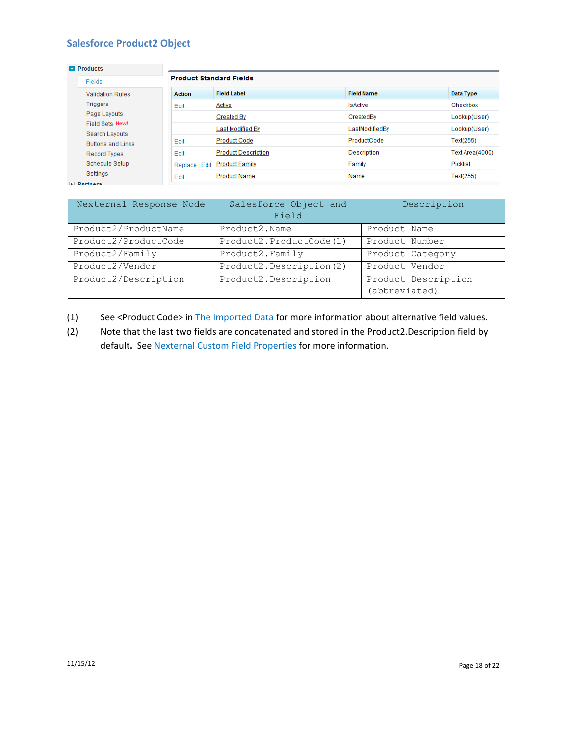## **Salesforce Product2 Object**

| $\blacksquare$ Products                    |                |                                |                   |                 |
|--------------------------------------------|----------------|--------------------------------|-------------------|-----------------|
| <b>Fields</b>                              |                | <b>Product Standard Fields</b> |                   |                 |
| <b>Validation Rules</b>                    | <b>Action</b>  | <b>Field Label</b>             | <b>Field Name</b> | Data Type       |
| Triggers                                   | Edit           | Active                         | <b>IsActive</b>   | Checkbox        |
| Page Lavouts                               |                | <b>Created By</b>              | CreatedBy         | Lookup(User)    |
| Field Sets New!                            |                | Last Modified By               | LastModifiedBv    | Lookup(User)    |
| Search Layouts<br><b>Buttons and Links</b> | Edit           | <b>Product Code</b>            | ProductCode       | Text(255)       |
| <b>Record Types</b>                        | Edit           | <b>Product Description</b>     | Description       | Text Area(4000) |
| Schedule Setup                             | Replace   Edit | <b>Product Family</b>          | Family            | Picklist        |
| Settings                                   | Edit           | <b>Product Name</b>            | Name              | Text(255)       |
| Dartnore                                   |                |                                |                   |                 |

| Nexternal Response Node | Salesforce Object and<br>Field | Description         |
|-------------------------|--------------------------------|---------------------|
| Product2/ProductName    | Product2.Name                  | Product Name        |
| Product2/ProductCode    | Product2. ProductCode (1)      | Product Number      |
| Product2/Family         | Product2. Family               | Product Category    |
| Product2/Vendor         | Product2. Description (2)      | Product Vendor      |
| Product2/Description    | Product2. Description          | Product Description |
|                         |                                | (abbreviated)       |

- (1) See <Product Code> in The Imported Data for more information about alternative field values.
- (2) Note that the last two fields are concatenated and stored in the Product2.Description field by default. See Nexternal Custom Field Properties for more information.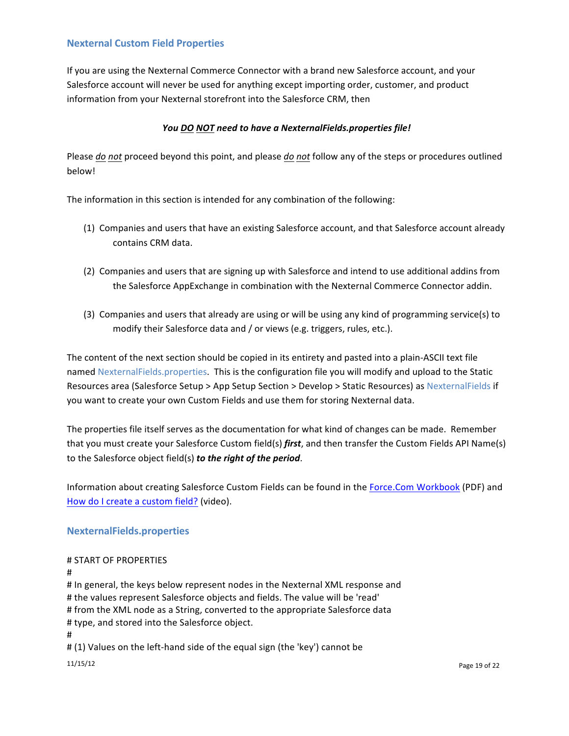### **Nexternal Custom Field Properties**

If you are using the Nexternal Commerce Connector with a brand new Salesforce account, and your Salesforce account will never be used for anything except importing order, customer, and product information from your Nexternal storefront into the Salesforce CRM, then

### You DO NOT need to have a NexternalFields.properties file!

Please *do* not proceed beyond this point, and please *do not* follow any of the steps or procedures outlined below!

The information in this section is intended for any combination of the following:

- (1) Companies and users that have an existing Salesforce account, and that Salesforce account already contains CRM data.
- (2) Companies and users that are signing up with Salesforce and intend to use additional addins from the Salesforce AppExchange in combination with the Nexternal Commerce Connector addin.
- (3) Companies and users that already are using or will be using any kind of programming service(s) to modify their Salesforce data and / or views (e.g. triggers, rules, etc.).

The content of the next section should be copied in its entirety and pasted into a plain-ASCII text file named NexternalFields.properties. This is the configuration file you will modify and upload to the Static Resources area (Salesforce Setup > App Setup Section > Develop > Static Resources) as NexternalFields if you want to create your own Custom Fields and use them for storing Nexternal data.

The properties file itself serves as the documentation for what kind of changes can be made. Remember that you must create your Salesforce Custom field(s) *first*, and then transfer the Custom Fields API Name(s) to the Salesforce object field(s) **to the right of the period**.

Information about creating Salesforce Custom Fields can be found in the Force.Com Workbook (PDF) and How do I create a custom field? (video).

### **NexternalFields.properties**

### # START OF PROPERTIES

#### #

 $11/15/12$  Page 19 of 22  $\blacksquare$ # In general, the keys below represent nodes in the Nexternal XML response and # the values represent Salesforce objects and fields. The value will be 'read' # from the XML node as a String, converted to the appropriate Salesforce data # type, and stored into the Salesforce object. # # (1) Values on the left-hand side of the equal sign (the 'key') cannot be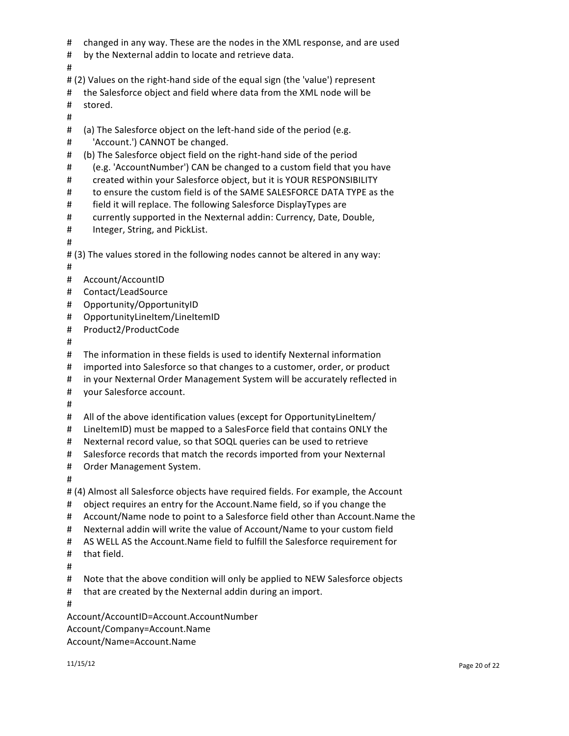- # changed in any way. These are the nodes in the XML response, and are used
- # by the Nexternal addin to locate and retrieve data.
- #
- # (2) Values on the right-hand side of the equal sign (the 'value') represent
- # the Salesforce object and field where data from the XML node will be

# stored.

- #
- $\#$  (a) The Salesforce object on the left-hand side of the period (e.g.
- # 'Account.') CANNOT be changed.
- # (b) The Salesforce object field on the right-hand side of the period
- # (e.g. 'AccountNumber') CAN be changed to a custom field that you have
- # created within your Salesforce object, but it is YOUR RESPONSIBILITY
- # to ensure the custom field is of the SAME SALESFORCE DATA TYPE as the
- # field it will replace. The following Salesforce DisplayTypes are
- # currently supported in the Nexternal addin: Currency, Date, Double,
- # Integer, String, and PickList.
- #
- # (3) The values stored in the following nodes cannot be altered in any way:
- #
- # Account/AccountID
- # Contact/LeadSource
- # Opportunity/OpportunityID
- # OpportunityLineItem/LineItemID
- # Product2/ProductCode
- #
- # The information in these fields is used to identify Nexternal information
- # imported into Salesforce so that changes to a customer, order, or product
- # in your Nexternal Order Management System will be accurately reflected in
- # your Salesforce account.
- #
- # All of the above identification values (except for OpportunityLineItem/
- # LineItemID) must be mapped to a SalesForce field that contains ONLY the
- # Nexternal record value, so that SOQL queries can be used to retrieve
- # Salesforce records that match the records imported from your Nexternal
- # Order Management System.
- #

# (4) Almost all Salesforce objects have required fields. For example, the Account

- # object requires an entry for the Account.Name field, so if you change the
- # Account/Name node to point to a Salesforce field other than Account.Name the
- # Nexternal addin will write the value of Account/Name to your custom field
- # AS WELL AS the Account.Name field to fulfill the Salesforce requirement for
- # that field.
- #
- # Note that the above condition will only be applied to NEW Salesforce objects
- # that are created by the Nexternal addin during an import.
- #

Account/AccountID=Account.AccountNumber Account/Company=Account.Name Account/Name=Account.Name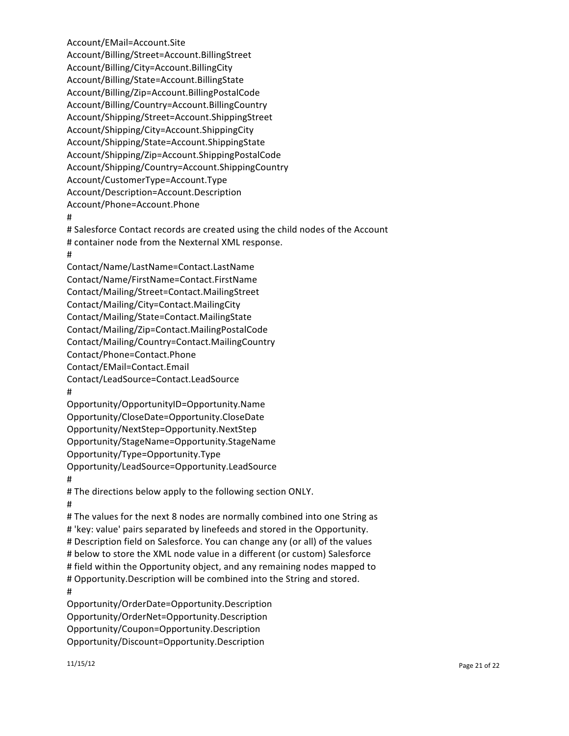Account/Billing/Street=Account.BillingStreet Account/Billing/City=Account.BillingCity Account/Billing/State=Account.BillingState Account/Billing/Zip=Account.BillingPostalCode Account/Billing/Country=Account.BillingCountry Account/Shipping/Street=Account.ShippingStreet Account/Shipping/City=Account.ShippingCity Account/Shipping/State=Account.ShippingState Account/Shipping/Zip=Account.ShippingPostalCode Account/Shipping/Country=Account.ShippingCountry Account/CustomerType=Account.Type Account/Description=Account.Description Account/Phone=Account.Phone # # Salesforce Contact records are created using the child nodes of the Account # container node from the Nexternal XML response. # Contact/Name/LastName=Contact.LastName Contact/Name/FirstName=Contact.FirstName Contact/Mailing/Street=Contact.MailingStreet Contact/Mailing/City=Contact.MailingCity Contact/Mailing/State=Contact.MailingState Contact/Mailing/Zip=Contact.MailingPostalCode Contact/Mailing/Country=Contact.MailingCountry Contact/Phone=Contact.Phone Contact/EMail=Contact.Email Contact/LeadSource=Contact.LeadSource # Opportunity/OpportunityID=Opportunity.Name Opportunity/CloseDate=Opportunity.CloseDate Opportunity/NextStep=Opportunity.NextStep Opportunity/StageName=Opportunity.StageName Opportunity/Type=Opportunity.Type Opportunity/LeadSource=Opportunity.LeadSource # # The directions below apply to the following section ONLY. # # The values for the next 8 nodes are normally combined into one String as # 'key: value' pairs separated by linefeeds and stored in the Opportunity. # Description field on Salesforce. You can change any (or all) of the values # below to store the XML node value in a different (or custom) Salesforce # field within the Opportunity object, and any remaining nodes mapped to # Opportunity.Description will be combined into the String and stored. # Opportunity/OrderDate=Opportunity.Description Opportunity/OrderNet=Opportunity.Description Opportunity/Coupon=Opportunity.Description Opportunity/Discount=Opportunity.Description

Account/EMail=Account.Site